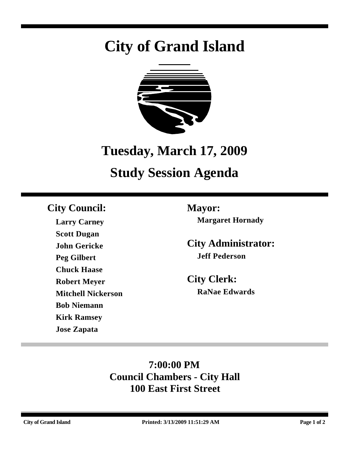# **City of Grand Island**



## **Tuesday, March 17, 2009**

## **Study Session Agenda**

## **City Council: Mayor:**

**Larry Carney Scott Dugan John Gericke Peg Gilbert Chuck Haase Robert Meyer Mitchell Nickerson Bob Niemann Kirk Ramsey Jose Zapata**

**Margaret Hornady**

**City Administrator: Jeff Pederson**

**City Clerk: RaNae Edwards**

## **7:00:00 PM Council Chambers - City Hall 100 East First Street**